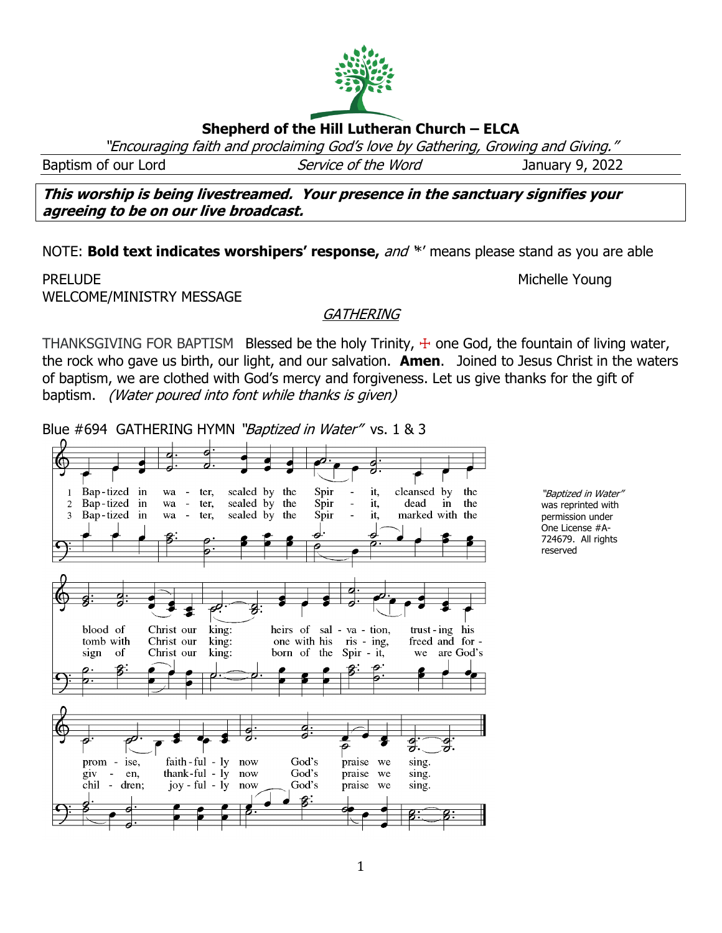# **Shepherd of the Hill Lutheran Church – ELCA**

"Encouraging faith and proclaiming God's love by Gathering, Growing and Giving."

Baptism of our Lord Service of the Word January 9, 2022

**This worship is being livestreamed. Your presence in the sanctuary signifies your agreeing to be on our live broadcast.** 

NOTE: **Bold text indicates worshipers' response,** and '\*' means please stand as you are able

PRELUDE NUMBER OF THE STATE OF THE SERVICE OF THE STATE OF THE MICHELLE YOUNG WELCOME/MINISTRY MESSAGE

### **GATHERING**

THANKSGIVING FOR BAPTISM Blessed be the holy Trinity,  $\pm$  one God, the fountain of living water, the rock who gave us birth, our light, and our salvation. **Amen**. Joined to Jesus Christ in the waters of baptism, we are clothed with God's mercy and forgiveness. Let us give thanks for the gift of baptism. (Water poured into font while thanks is given)

1

Blue #694 GATHERING HYMN "Baptized in Water" vs. 1 & 3



"Baptized in Water" was reprinted with permission under One License #A-724679. All rights reserved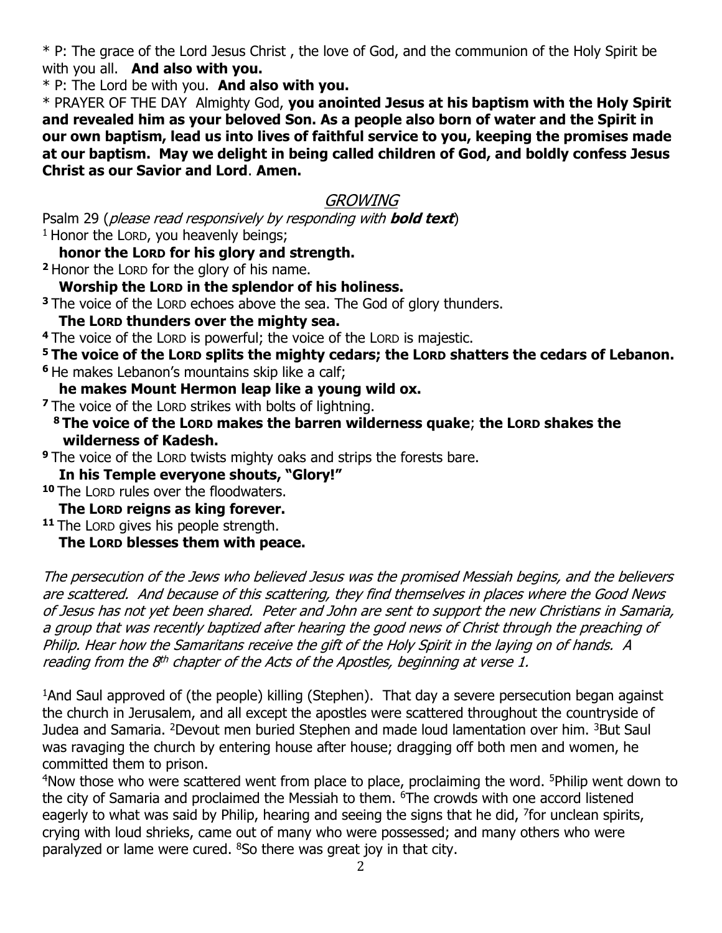\* P: The grace of the Lord Jesus Christ , the love of God, and the communion of the Holy Spirit be with you all. **And also with you.**

\* P: The Lord be with you. **And also with you.**

\* PRAYER OF THE DAY Almighty God, **you anointed Jesus at his baptism with the Holy Spirit and revealed him as your beloved Son. As a people also born of water and the Spirit in our own baptism, lead us into lives of faithful service to you, keeping the promises made at our baptism. May we delight in being called children of God, and boldly confess Jesus Christ as our Savior and Lord**. **Amen.**

## GROWING

Psalm 29 (please read responsively by responding with **bold text**)  $1$  Honor the LORD, you heavenly beings;

**honor the LORD for his glory and strength.**

**<sup>2</sup>** Honor the LORD for the glory of his name.

**Worship the LORD in the splendor of his holiness.**

**<sup>3</sup>** The voice of the LORD echoes above the sea. The God of glory thunders.

**The LORD thunders over the mighty sea.**

**<sup>4</sup>** The voice of the LORD is powerful; the voice of the LORD is majestic.

**<sup>5</sup> The voice of the LORD splits the mighty cedars; the LORD shatters the cedars of Lebanon.**

**<sup>6</sup>** He makes Lebanon's mountains skip like a calf;

**he makes Mount Hermon leap like a young wild ox.**

**<sup>7</sup>** The voice of the LORD strikes with bolts of lightning.

**<sup>8</sup> The voice of the LORD makes the barren wilderness quake**; **the LORD shakes the wilderness of Kadesh.**

**<sup>9</sup>** The voice of the LORD twists mighty oaks and strips the forests bare.

 **In his Temple everyone shouts, "Glory!"** 

**<sup>10</sup>** The LORD rules over the floodwaters.

**The LORD reigns as king forever.**

**<sup>11</sup>** The LORD gives his people strength.

**The LORD blesses them with peace.**

The persecution of the Jews who believed Jesus was the promised Messiah begins, and the believers are scattered. And because of this scattering, they find themselves in places where the Good News of Jesus has not yet been shared. Peter and John are sent to support the new Christians in Samaria, a group that was recently baptized after hearing the good news of Christ through the preaching of Philip. Hear how the Samaritans receive the gift of the Holy Spirit in the laying on of hands. A reading from the 8<sup>th</sup> chapter of the Acts of the Apostles, beginning at verse 1.

<sup>1</sup>And Saul approved of (the people) killing (Stephen). That day a severe persecution began against the church in Jerusalem, and all except the apostles were scattered throughout the countryside of Judea and Samaria. <sup>2</sup>Devout men buried Stephen and made loud lamentation over him. <sup>3</sup>But Saul was ravaging the church by entering house after house; dragging off both men and women, he committed them to prison.

<sup>4</sup>Now those who were scattered went from place to place, proclaiming the word. <sup>5</sup>Philip went down to the city of Samaria and proclaimed the Messiah to them. <sup>6</sup>The crowds with one accord listened eagerly to what was said by Philip, hearing and seeing the signs that he did,  $\frac{7}{1}$  for unclean spirits, crying with loud shrieks, came out of many who were possessed; and many others who were paralyzed or lame were cured. <sup>8</sup>So there was great joy in that city.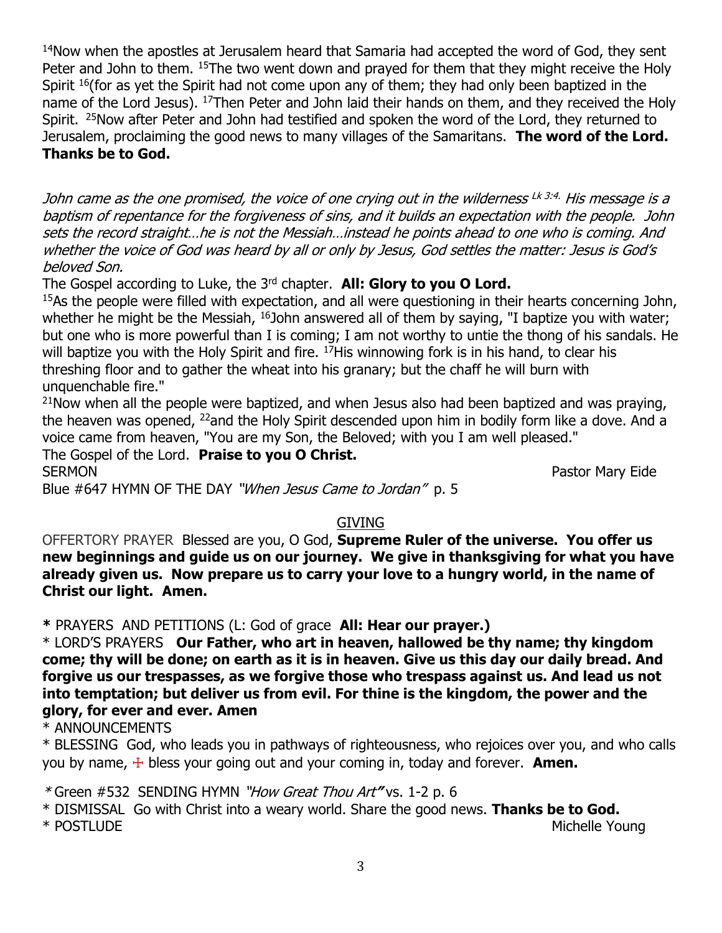<sup>14</sup>Now when the apostles at Jerusalem heard that Samaria had accepted the word of God, they sent Peter and John to them. <sup>15</sup>The two went down and prayed for them that they might receive the Holy Spirit <sup>16</sup>(for as yet the Spirit had not come upon any of them; they had only been baptized in the name of the Lord Jesus). <sup>17</sup>Then Peter and John laid their hands on them, and they received the Holy Spirit. <sup>25</sup>Now after Peter and John had testified and spoken the word of the Lord, they returned to Jerusalem, proclaiming the good news to many villages of the Samaritans. **The word of the Lord. Thanks be to God.**

John came as the one promised, the voice of one crying out in the wilderness <sup>Lk 3:4.</sup> His message is a baptism of repentance for the forgiveness of sins, and it builds an expectation with the people. John sets the record straight…he is not the Messiah…instead he points ahead to one who is coming. And whether the voice of God was heard by all or only by Jesus, God settles the matter: Jesus is God's beloved Son.

The Gospel according to Luke, the 3<sup>rd</sup> chapter. **All: Glory to you O Lord.** 

 $15$ As the people were filled with expectation, and all were questioning in their hearts concerning John, whether he might be the Messiah,  $16$ John answered all of them by saying, "I baptize you with water; but one who is more powerful than I is coming; I am not worthy to untie the thong of his sandals. He will baptize you with the Holy Spirit and fire.  $^{17}$ His winnowing fork is in his hand, to clear his threshing floor and to gather the wheat into his granary; but the chaff he will burn with unquenchable fire."

 $21$ Now when all the people were baptized, and when Jesus also had been baptized and was praying, the heaven was opened, <sup>22</sup>and the Holy Spirit descended upon him in bodily form like a dove. And a voice came from heaven, "You are my Son, the Beloved; with you I am well pleased."

The Gospel of the Lord. **Praise to you O Christ.** SERMON **Pastor Mary Eide** 

Blue #647 HYMN OF THE DAY "When Jesus Came to Jordan" p. 5

# GIVING

OFFERTORY PRAYER Blessed are you, O God, **Supreme Ruler of the universe. You offer us new beginnings and guide us on our journey. We give in thanksgiving for what you have already given us. Now prepare us to carry your love to a hungry world, in the name of Christ our light. Amen.**

**\*** PRAYERS AND PETITIONS (L: God of grace **All: Hear our prayer.)**

\* LORD'S PRAYERS **Our Father, who art in heaven, hallowed be thy name; thy kingdom come; thy will be done; on earth as it is in heaven. Give us this day our daily bread. And forgive us our trespasses, as we forgive those who trespass against us. And lead us not into temptation; but deliver us from evil. For thine is the kingdom, the power and the glory, for ever and ever. Amen**

\* ANNOUNCEMENTS

\* BLESSING God, who leads you in pathways of righteousness, who rejoices over you, and who calls you by name, ☩ bless your going out and your coming in, today and forever. **Amen.**

\* Green #532SENDING HYMN "How Great Thou Art**"** vs. 1-2 p. 6

\* DISMISSAL Go with Christ into a weary world. Share the good news. **Thanks be to God.** \* POSTLUDE Michelle Young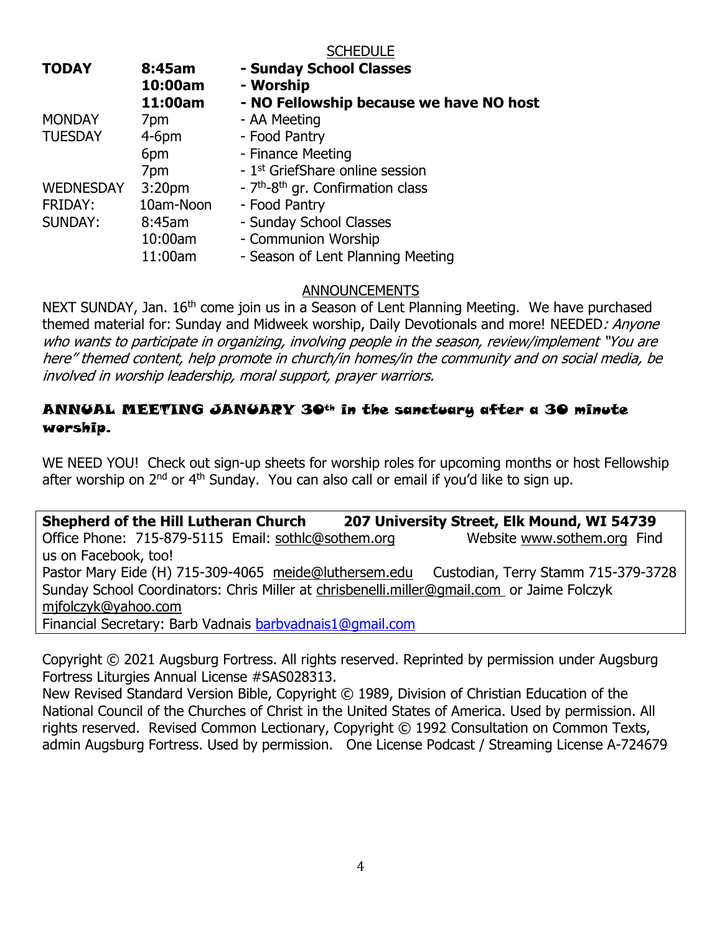#### **SCHEDULE**

| <b>TODAY</b>     | 8:45am<br>10:00am  | - Sunday School Classes<br>- Worship                      |
|------------------|--------------------|-----------------------------------------------------------|
|                  | 11:00am            | - NO Fellowship because we have NO host                   |
| <b>MONDAY</b>    | 7pm                | - AA Meeting                                              |
| <b>TUESDAY</b>   | $4-6$ pm           | - Food Pantry                                             |
|                  | 6pm                | - Finance Meeting                                         |
|                  | 7pm                | - 1 <sup>st</sup> GriefShare online session               |
| <b>WEDNESDAY</b> | 3:20 <sub>pm</sub> | - 7 <sup>th</sup> -8 <sup>th</sup> gr. Confirmation class |
| <b>FRIDAY:</b>   | 10am-Noon          | - Food Pantry                                             |
| <b>SUNDAY:</b>   | 8:45am             | - Sunday School Classes                                   |
|                  | 10:00am            | - Communion Worship                                       |
|                  | 11:00am            | - Season of Lent Planning Meeting                         |

### ANNOUNCEMENTS

NEXT SUNDAY, Jan. 16<sup>th</sup> come join us in a Season of Lent Planning Meeting. We have purchased themed material for: Sunday and Midweek worship, Daily Devotionals and more! NEEDED: Anyone who wants to participate in organizing, involving people in the season, review/implement "You are here" themed content, help promote in church/in homes/in the community and on social media, be involved in worship leadership, moral support, prayer warriors.

## ANNUAL MEETING JANUARY 30th in the sanctuary after a 30 minute worship.

WE NEED YOU! Check out sign-up sheets for worship roles for upcoming months or host Fellowship after worship on 2<sup>nd</sup> or 4<sup>th</sup> Sunday. You can also call or email if you'd like to sign up.

**Shepherd of the Hill Lutheran Church 207 University Street, Elk Mound, WI 54739** Office Phone: 715-879-5115 Email: [sothlc@sothem.org](mailto:sothlc@sothem.org) Website [www.sothem.org](http://www.sothem.org/) Find us on Facebook, too! Pastor Mary Eide (H) 715-309-4065 [meide@luthersem.edu](mailto:meide@luthersem.edu) Custodian, Terry Stamm 715-379-3728 Sunday School Coordinators: Chris Miller at [chrisbenelli.miller@gmail.com](mailto:chrisbenelli.miller@gmail.com) or Jaime Folczyk [mjfolczyk@yahoo.com](mailto:mjfolczyk@yahoo.com) Financial Secretary: Barb Vadnais [barbvadnais1@gmail.com](mailto:barbvadnais1@gmail.com)

Copyright © 2021 Augsburg Fortress. All rights reserved. Reprinted by permission under Augsburg Fortress Liturgies Annual License #SAS028313.

New Revised Standard Version Bible, Copyright © 1989, Division of Christian Education of the National Council of the Churches of Christ in the United States of America. Used by permission. All rights reserved. Revised Common Lectionary, Copyright © 1992 Consultation on Common Texts, admin Augsburg Fortress. Used by permission. One License Podcast / Streaming License A-724679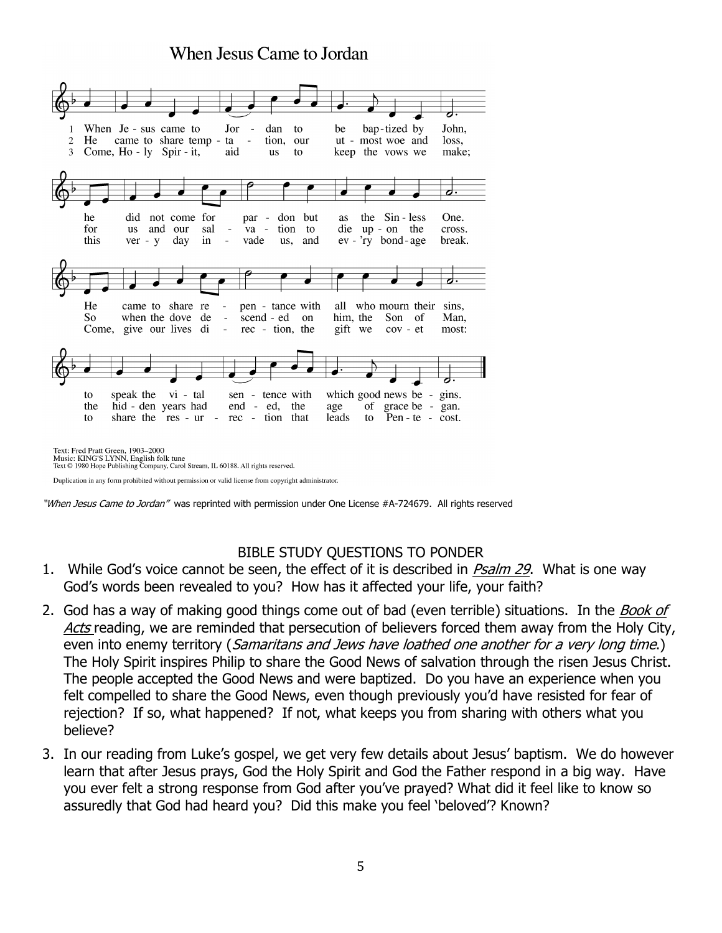# When Jesus Came to Jordan



Duplication in any form prohibited without permission or valid license from copyright administrator.

"When Jesus Came to Jordan" was reprinted with permission under One License #A-724679. All rights reserved

### BIBLE STUDY QUESTIONS TO PONDER

- 1. While God's voice cannot be seen, the effect of it is described in *Psalm 29*. What is one way God's words been revealed to you? How has it affected your life, your faith?
- 2. God has a way of making good things come out of bad (even terrible) situations. In the Book of Acts reading, we are reminded that persecution of believers forced them away from the Holy City, even into enemy territory (Samaritans and Jews have loathed one another for a very long time.) The Holy Spirit inspires Philip to share the Good News of salvation through the risen Jesus Christ. The people accepted the Good News and were baptized. Do you have an experience when you felt compelled to share the Good News, even though previously you'd have resisted for fear of rejection? If so, what happened? If not, what keeps you from sharing with others what you believe?
- 3. In our reading from Luke's gospel, we get very few details about Jesus' baptism. We do however learn that after Jesus prays, God the Holy Spirit and God the Father respond in a big way. Have you ever felt a strong response from God after you've prayed? What did it feel like to know so assuredly that God had heard you? Did this make you feel 'beloved'? Known?